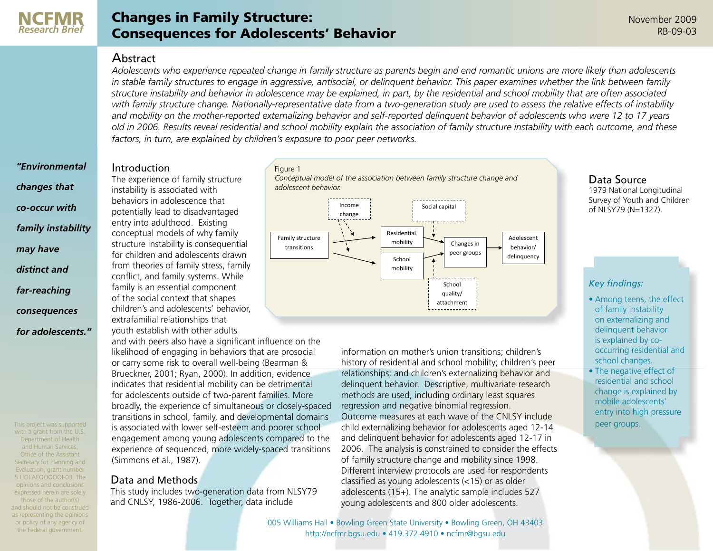

*"Environmental* 

*changes that* 

*co-occur with* 

*may have* 

*distinct and* 

*far-reaching* 

*consequences* 

*for adolescents."*

*family instability* 

# Changes in Family Structure: Consequences for Adolescents' Behavior

## Abstract

*Adolescents who experience repeated change in family structure as parents begin and end romantic unions are more likely than adolescents in stable family structures to engage in aggressive, antisocial, or delinquent behavior. This paper examines whether the link between family structure instability and behavior in adolescence may be explained, in part, by the residential and school mobility that are often associated with family structure change. Nationally-representative data from a two-generation study are used to assess the relative effects of instability and mobility on the mother-reported externalizing behavior and self-reported delinquent behavior of adolescents who were 12 to 17 years old in 2006. Results reveal residential and school mobility explain the association of family structure instability with each outcome, and these factors, in turn, are explained by children's exposure to poor peer networks.*

#### **Introduction**

The experience of family structure instability is associated with behaviors in adolescence that potentially lead to disadvantaged entry into adulthood. Existing conceptual models of why family structure instability is consequential for children and adolescents drawn from theories of family stress, family conflict, and family systems. While family is an essential component of the social context that shapes children's and adolescents' behavior, extrafamilial relationships that youth establish with other adults

and with peers also have a significant influence on the likelihood of engaging in behaviors that are prosocial or carry some risk to overall well-being (Bearman & Brueckner, 2001; Ryan, 2000). In addition, evidence indicates that residential mobility can be detrimental for adolescents outside of two-parent families. More broadly, the experience of simultaneous or closely-spaced transitions in school, family, and developmental domains is associated with lower self-esteem and poorer school engagement among young adolescents compared to the experience of sequenced, more widely-spaced transitions (Simmons et al., 1987).

# Data and Methods

This study includes two-generation data from NLSY79 and CNLSY, 1986-2006. Together, data include





information on mother's union transitions; children's history of residential and school mobility; children's peer relationships; and children's externalizing behavior and delinquent behavior. Descriptive, multivariate research methods are used, including ordinary least squares regression and negative binomial regression. Outcome measures at each wave of the CNLSY include child externalizing behavior for adolescents aged 12-14 and delinquent behavior for adolescents aged 12-17 in 2006. The analysis is constrained to consider the effects of family structure change and mobility since 1998. Different interview protocols are used for respondents classified as young adolescents (<15) or as older adolescents (15+). The analytic sample includes 527 young adolescents and 800 older adolescents.

#### Data Source 1979 National Longitudinal Survey of Youth and Children of NLSY79 (N=1327).

## *Key findings:*

- Among teens, the effect of family instability on externalizing and delinquent behavior is explained by cooccurring residential and school changes.
- The negative effect of residential and school change is explained by mobile adolescents' entry into high pressure peer groups.

Department of Health and Human Services, Office of the Assistant Secretary for Planning and Evaluation, grant number 5 UOI AEOOOOOI-03. The opinions and conclusions expressed herein are solely those of the author(s) and should not be construed as representing the opinions or policy of any agency of the Federal government.

This project was supported with a grant from the U.S.

> [005 Williams Hall • Bowling Green State University • Bowling Green, OH 43403](http://ncfmr.bgsu.edu/index.html) [http://ncfmr.bgsu.edu • 419.372.4910 • ncfmr@bgsu.edu](http://ncfmr.bgsu.edu/index.html)